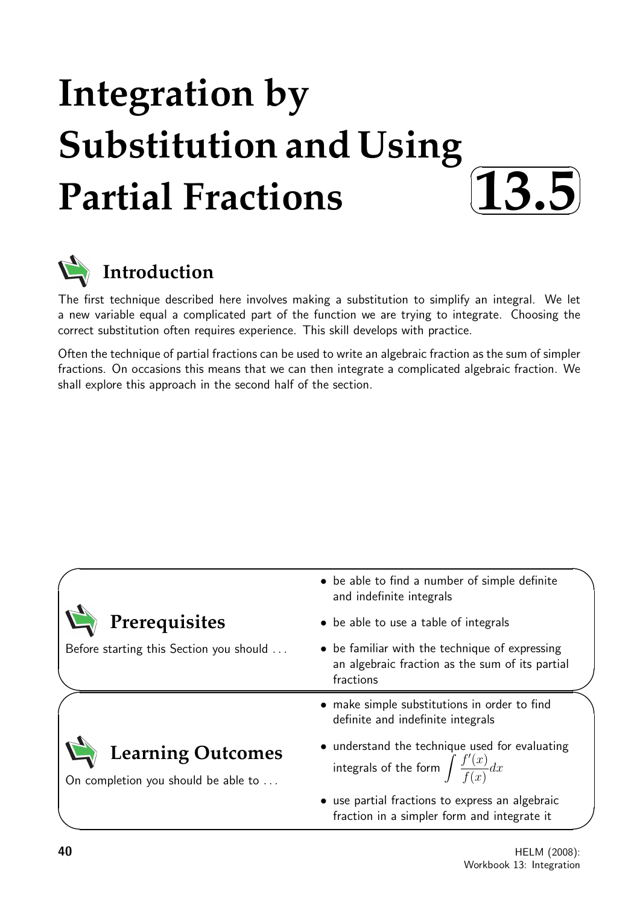# **Integration by Substitution and Using Partial Fractions**





The first technique described here involves making a substitution to simplify an integral. We let a new variable equal a complicated part of the function we are trying to integrate. Choosing the correct substitution often requires experience. This skill develops with practice.

Often the technique of partial fractions can be used to write an algebraic fraction as the sum of simpler fractions. On occasions this means that we can then integrate a complicated algebraic fraction. We shall explore this approach in the second half of the section.

|                                                                 | • be able to find a number of simple definite<br>and indefinite integrals                                      |  |
|-----------------------------------------------------------------|----------------------------------------------------------------------------------------------------------------|--|
| Prerequisites                                                   | • be able to use a table of integrals                                                                          |  |
| Before starting this Section you should                         | • be familiar with the technique of expressing<br>an algebraic fraction as the sum of its partial<br>fractions |  |
|                                                                 | make simple substitutions in order to find<br>$\bullet$<br>definite and indefinite integrals                   |  |
| <b>Learning Outcomes</b><br>On completion you should be able to | • understand the technique used for evaluating<br>integrals of the form $\int \frac{f'(x)}{f(x)} dx$           |  |
|                                                                 | • use partial fractions to express an algebraic<br>fraction in a simpler form and integrate it                 |  |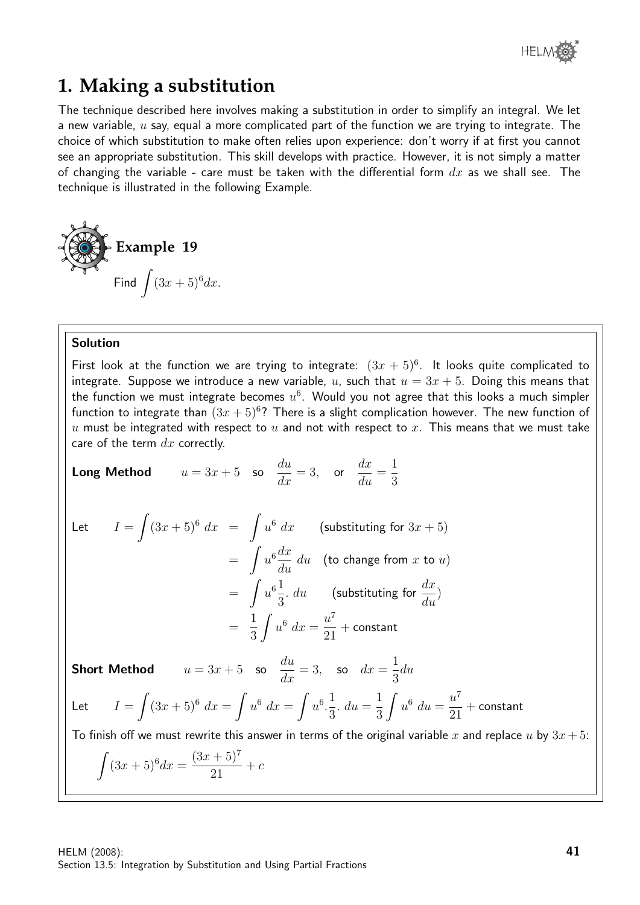

# **1. Making a substitution**

The technique described here involves making a substitution in order to simplify an integral. We let a new variable,  $u$  say, equal a more complicated part of the function we are trying to integrate. The choice of which substitution to make often relies upon experience: don't worry if at first you cannot see an appropriate substitution. This skill develops with practice. However, it is not simply a matter of changing the variable - care must be taken with the differential form  $dx$  as we shall see. The technique is illustrated in the following Example.

Example 19  
Find 
$$
\int (3x+5)^6 dx.
$$

#### Solution

First look at the function we are trying to integrate:  $(3x + 5)^6$ . It looks quite complicated to integrate. Suppose we introduce a new variable, u, such that  $u = 3x + 5$ . Doing this means that the function we must integrate becomes  $u^6$ . Would you not agree that this looks a much simpler function to integrate than  $(3x+5)^6$ ? There is a slight complication however. The new function of u must be integrated with respect to u and not with respect to x. This means that we must take care of the term  $dx$  correctly.

**Long Method**  $u = 3x + 5$  so du  $\frac{du}{dx} = 3$ , or  $dx$  $\frac{du}{du} =$ 1 3

Let 
$$
I = \int (3x+5)^6 dx = \int u^6 dx
$$
 (substituting for  $3x + 5$ )  
\n
$$
= \int u^6 \frac{dx}{du} du
$$
 (to change from x to u)  
\n
$$
= \int u^6 \frac{1}{3} du
$$
 (substituting for  $\frac{dx}{du}$ )  
\n
$$
= \frac{1}{3} \int u^6 dx = \frac{u^7}{21} + \text{constant}
$$

**Short Method**  $u = 3x + 5$  so du  $\frac{du}{dx} = 3$ , so  $dx =$ 1 3 du Let  $I = \int (3x+5)^6 dx = \int u^6 dx = \int u^6$ . 1 3  $. du =$ 1 3  $\int u^6 du =$  $u^7$ 21  $+$  constant To finish off we must rewrite this answer in terms of the original variable x and replace u by  $3x + 5$ :  $\int (3x+5)^6 dx =$  $(3x+5)^7$  $+ c$ 

21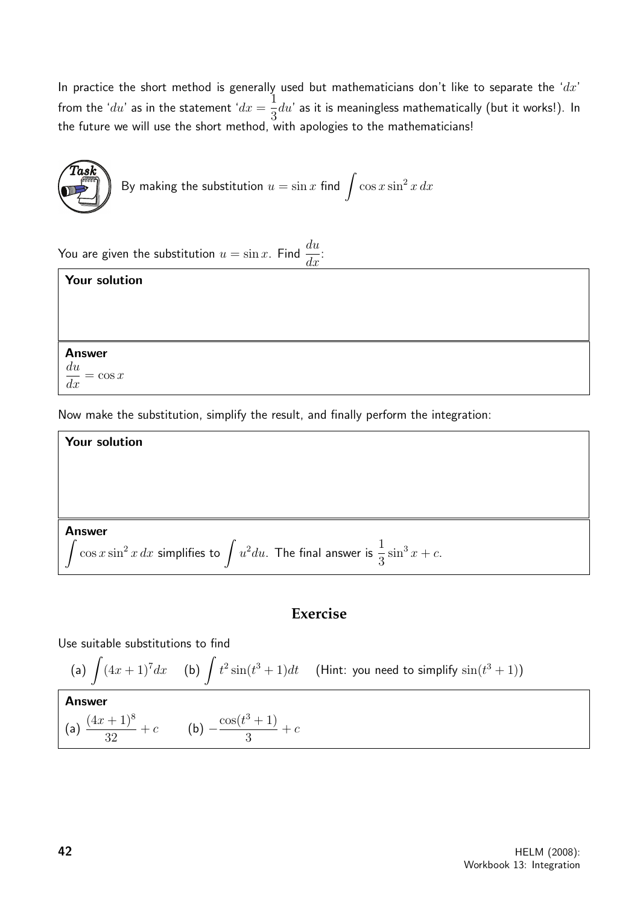In practice the short method is generally used but mathematicians don't like to separate the ' $dx$ ' from the ' $du$ ' as in the statement ' $dx =$ 1 3  $du'$  as it is meaningless mathematically (but it works!). In the future we will use the short method, with apologies to the mathematicians!



You are given the substitution  $u = \sin x$ . Find  $\frac{du}{dt}$  $\frac{d}{dx}$ :

## Your solution

Answer

 $\frac{du}{dx}$  $=$  cos x

Now make the substitution, simplify the result, and finally perform the integration:

**Your solution**  
Answer  

$$
\int \cos x \sin^2 x \, dx
$$
 simplifies to  $\int u^2 du$ . The final answer is  $\frac{1}{3} \sin^3 x + c$ .

## **Exercise**

Use suitable substitutions to find

(a) 
$$
\int (4x+1)^7 dx
$$
 (b)  $\int t^2 \sin(t^3+1) dt$  (Hint: you need to simplify  $\sin(t^3+1)$ )

 $+ c$ 

3

**Answer**  
(a) 
$$
\frac{(4x+1)^8}{32} + c
$$
 (b)  $-\frac{\cos(t^3+1)}{3}$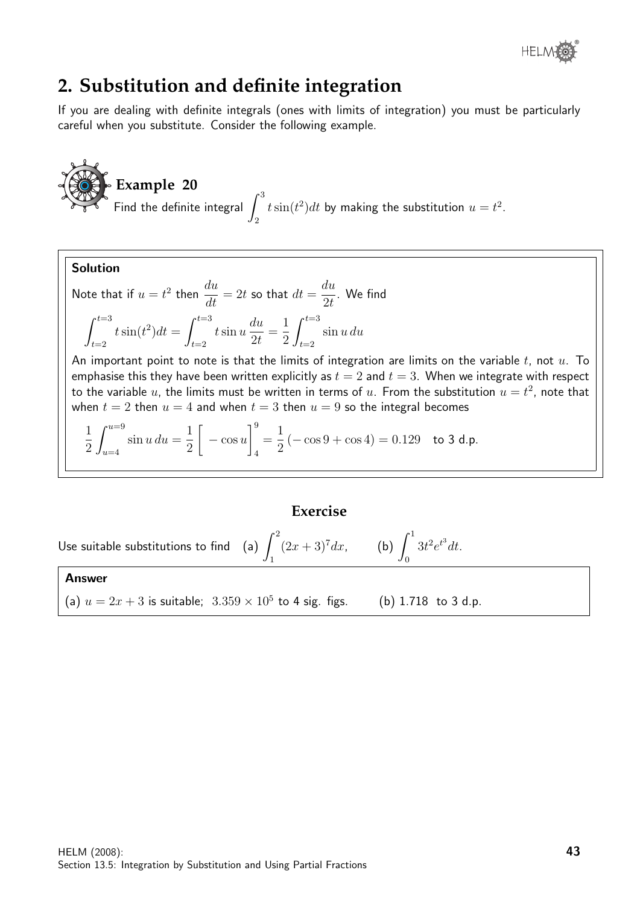

# **2. Substitution and definite integration**

If you are dealing with definite integrals (ones with limits of integration) you must be particularly careful when you substitute. Consider the following example.

**Example 20** Find the definite integral  $\int^3$ 2  $t\sin(t^2)dt$  by making the substitution  $u=t^2$ .

Note that if 
$$
u = t^2
$$
 then  $\frac{du}{dt} = 2t$  so that  $dt = \frac{du}{2t}$ . We find  

$$
\int_{t=2}^{t=3} t \sin(t^2) dt = \int_{t=2}^{t=3} t \sin u \frac{du}{2t} = \frac{1}{2} \int_{t=2}^{t=3} \sin u \, du
$$

An important point to note is that the limits of integration are limits on the variable  $t$ , not  $u$ . To emphasise this they have been written explicitly as  $t = 2$  and  $t = 3$ . When we integrate with respect to the variable  $u$ , the limits must be written in terms of  $u$ . From the substitution  $u=t^2$ , note that when  $t = 2$  then  $u = 4$  and when  $t = 3$  then  $u = 9$  so the integral becomes

$$
\frac{1}{2} \int_{u=4}^{u=9} \sin u \, du = \frac{1}{2} \left[ -\cos u \right]_4^9 = \frac{1}{2} \left( -\cos 9 + \cos 4 \right) = 0.129 \quad \text{to } \mathbf{3} \text{ d.p.}
$$

### **Exercise**

Use suitable substitutions to find  $\left( \mathsf{a}\right)$   $\int^{2}$ 1  $(2x+3)^7 dx$ , (b)  $\int_0^1$ 0  $3t^2e^{t^3}dt$ .

#### Answer

Solution

(a) 
$$
u = 2x + 3
$$
 is suitable;  $3.359 \times 10^5$  to 4 sig. figs. (b) 1.718 to 3 d.p.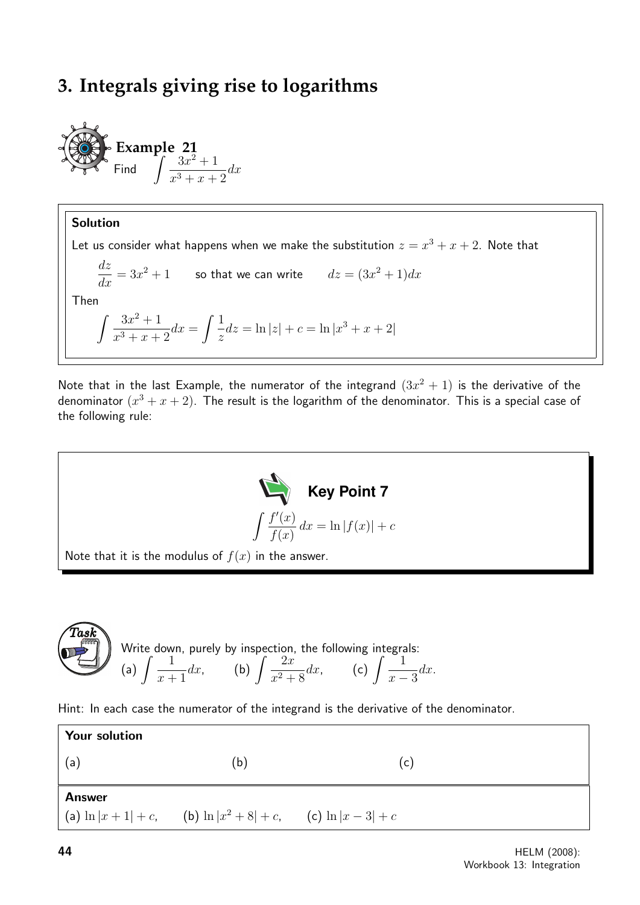# **3. Integrals giving rise to logarithms**

**Example 21**  
Find 
$$
\int \frac{3x^2 + 1}{x^3 + x + 2} dx
$$

## Solution Let us consider what happens when we make the substitution  $z = x^3 + x + 2$ . Note that dz  $\frac{dz}{dx} = 3x^2 + 1$  so that we can write  $dz = (3x^2 + 1)dx$ Then  $\int 3x^2 + 1$  $\frac{3x^2+1}{x^3+x+2}dx = \int \frac{1}{z}$ z  $dz = \ln |z| + c = \ln |x^3 + x + 2|$

Note that in the last Example, the numerator of the integrand  $(3x^2 + 1)$  is the derivative of the denominator  $(x^3 + x + 2)$ . The result is the logarithm of the denominator. This is a special case of the following rule:



**Task**  
\nWrite down, purely by inspection, the following integrals:  
\n(a) 
$$
\int \frac{1}{x+1} dx
$$
, (b)  $\int \frac{2x}{x^2+8} dx$ , (c)  $\int \frac{1}{x-3} dx$ .

Hint: In each case the numerator of the integrand is the derivative of the denominator.

| (b) | (c)                                                                    |
|-----|------------------------------------------------------------------------|
|     |                                                                        |
|     | $(a) \ln x+1  + c$ ,<br>(b) $\ln x^2 + 8  + c$ ,<br>(c) $\ln x-3  + c$ |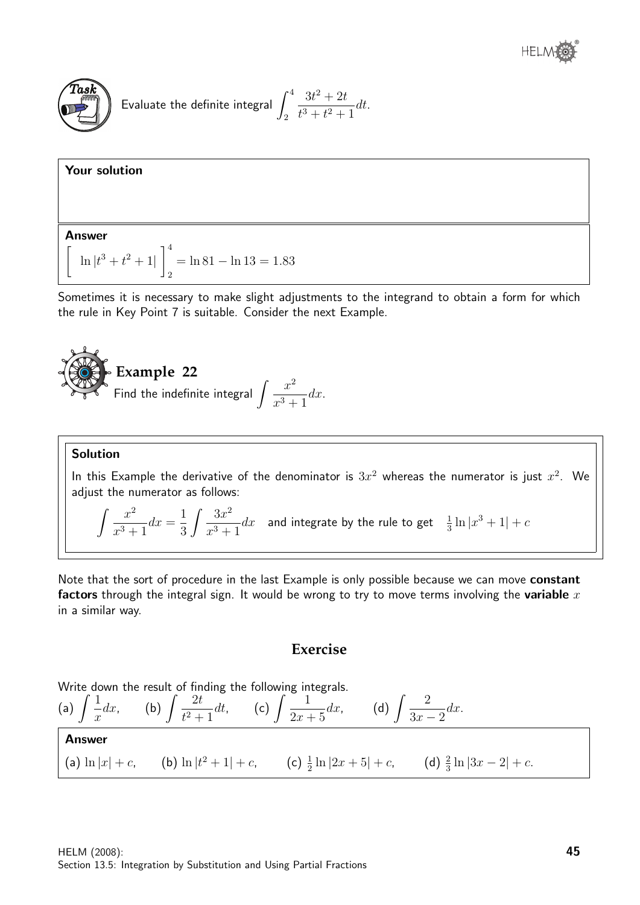

Your solution

Evaluate the definite integral 
$$
\int_2^4 \frac{3t^2 + 2t}{t^3 + t^2 + 1} dt.
$$

#### Answer  $\sqrt{ }$  $\ln |t^3 + t^2 + 1|$  $\vert$ <sup>4</sup> 2  $=$  ln 81 − ln 13 = 1.83

Sometimes it is necessary to make slight adjustments to the integrand to obtain a form for which the rule in Key Point 7 is suitable. Consider the next Example.



#### Solution

In this Example the derivative of the denominator is  $3x^2$  whereas the numerator is just  $x^2$ . We adjust the numerator as follows:

$$
\int \frac{x^2}{x^3 + 1} dx = \frac{1}{3} \int \frac{3x^2}{x^3 + 1} dx
$$
 and integrate by the rule to get  $\frac{1}{3} \ln|x^3 + 1| + c$ 

Note that the sort of procedure in the last Example is only possible because we can move constant factors through the integral sign. It would be wrong to try to move terms involving the variable  $x$ in a similar way.

## **Exercise**

Write down the result of finding the following integrals.  
\n(a) 
$$
\int \frac{1}{x} dx
$$
, (b)  $\int \frac{2t}{t^2 + 1} dt$ , (c)  $\int \frac{1}{2x + 5} dx$ , (d)  $\int \frac{2}{3x - 2} dx$ .  
\n**Answer**  
\n(a)  $\ln |x| + c$ , (b)  $\ln |t^2 + 1| + c$ , (c)  $\frac{1}{2} \ln |2x + 5| + c$ , (d)  $\frac{2}{3} \ln |3x - 2| + c$ .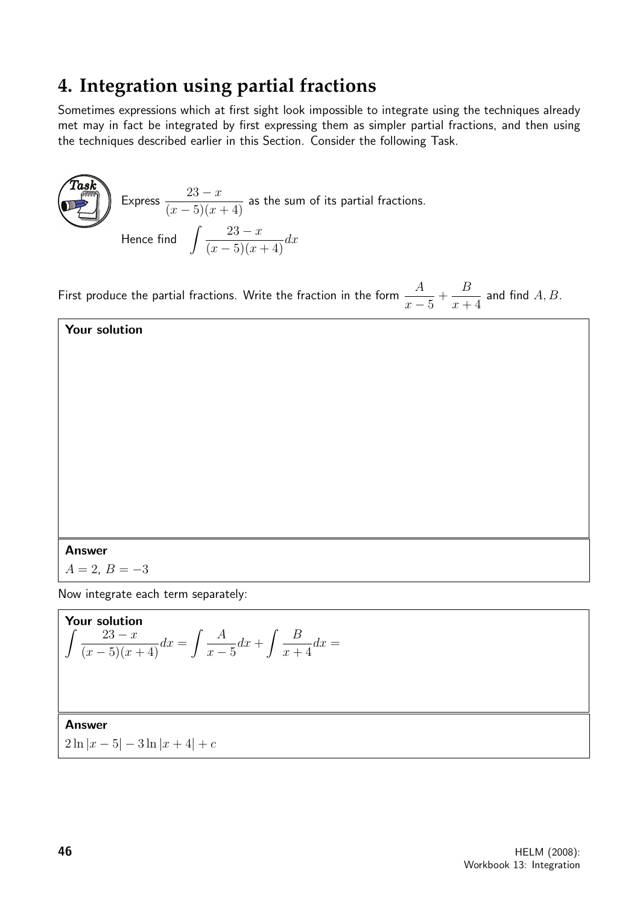# **4. Integration using partial fractions**

Sometimes expressions which at first sight look impossible to integrate using the techniques already met may in fact be integrated by first expressing them as simpler partial fractions, and then using the techniques described earlier in this Section. Consider the following Task.

 $\widehat{T}$ as $\widehat{k}$ Express  $\frac{23-x}{(x-5)^2}$  $\frac{20-x}{(x-5)(x+4)}$  as the sum of its partial fractions. Hence find  $\int \frac{23-x}{(x^2+y^2)^2}$  $\frac{25-x}{(x-5)(x+4)}dx$ 

First produce the partial fractions. Write the fraction in the form  $-\frac{A}{A}$  $x-5$  $+$ B  $x + 4$ and find  $A, B$ .

Your solution

Answer

 $A = 2, B = -3$ 

Now integrate each term separately:

**Your solution**  

$$
\int \frac{23-x}{(x-5)(x+4)} dx = \int \frac{A}{x-5} dx + \int \frac{B}{x+4} dx =
$$

Answer

 $2 \ln |x-5| - 3 \ln |x+4| + c$